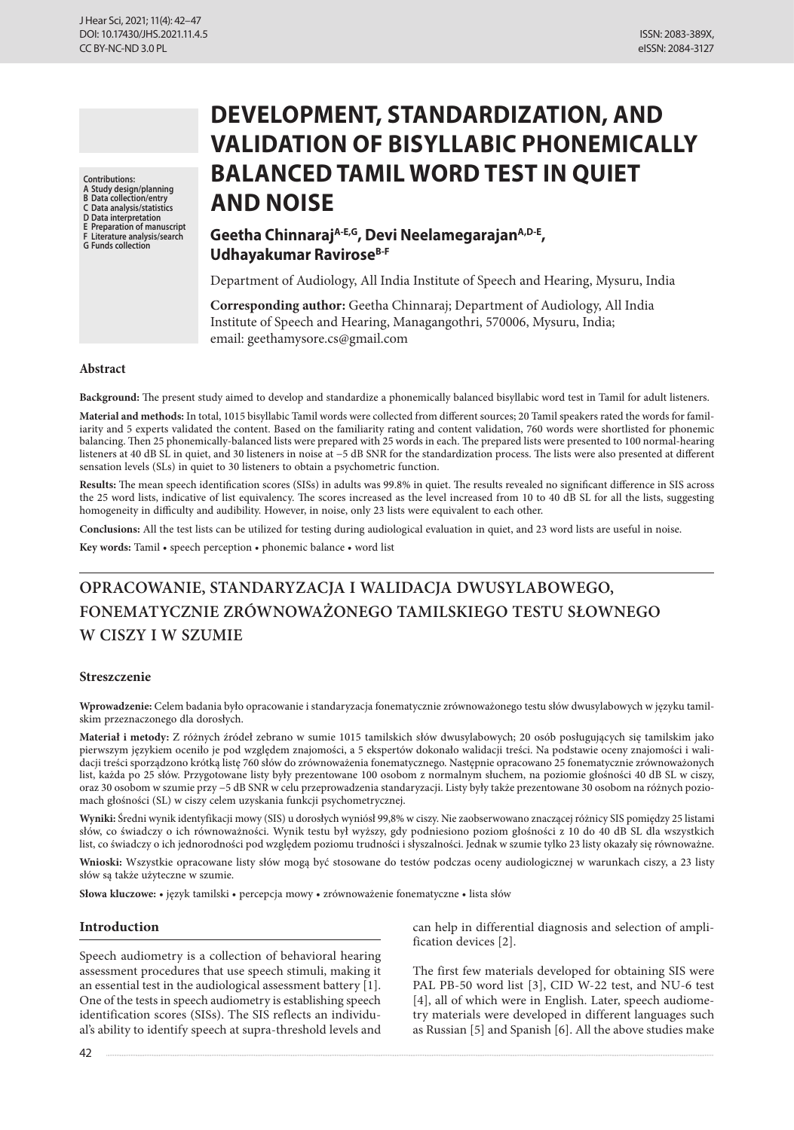**Contributions:**

- **A Study design/planning B Data collection/entry**
- **C Data analysis/statistics**
- **D Data interpretation**
- **A** Study design/planning<br> **B** Data collection/entry<br> **C** Data analysis/statistics<br>
D Data interpretation<br> **E** Preparation of manuscript<br> **F** Literature analysis/search<br> **G** Funds collection
- **G Funds collection**

# **DEVELOPMENT, STANDARDIZATION, AND VALIDATION OF BISYLLABIC PHONEMICALLY BALANCED TAMIL WORD TEST IN QUIET AND NOISE**

ISSN: 2083-389X, eISSN: 2084-3127

# **Geetha ChinnarajA-E,G, Devi NeelamegarajanA,D-E, Udhayakumar RaviroseB-F**

Department of Audiology, All India Institute of Speech and Hearing, Mysuru, India

**Corresponding author:** Geetha Chinnaraj; Department of Audiology, All India Institute of Speech and Hearing, Managangothri, 570006, Mysuru, India; email: geethamysore.cs@gmail.com

#### **Abstract**

**Background:** The present study aimed to develop and standardize a phonemically balanced bisyllabic word test in Tamil for adult listeners.

**Material and methods:** In total, 1015 bisyllabic Tamil words were collected from different sources; 20 Tamil speakers rated the words for familiarity and 5 experts validated the content. Based on the familiarity rating and content validation, 760 words were shortlisted for phonemic balancing. Then 25 phonemically-balanced lists were prepared with 25 words in each. The prepared lists were presented to 100 normal-hearing listeners at 40 dB SL in quiet, and 30 listeners in noise at −5 dB SNR for the standardization process. The lists were also presented at different sensation levels (SLs) in quiet to 30 listeners to obtain a psychometric function.

**Results:** The mean speech identification scores (SISs) in adults was 99.8% in quiet. The results revealed no significant difference in SIS across the 25 word lists, indicative of list equivalency. The scores increased as the level increased from 10 to 40 dB SL for all the lists, suggesting homogeneity in difficulty and audibility. However, in noise, only 23 lists were equivalent to each other.

**Conclusions:** All the test lists can be utilized for testing during audiological evaluation in quiet, and 23 word lists are useful in noise.

**Key words:** Tamil • speech perception • phonemic balance • word list

# **OPRACOWANIE, STANDARYZACJA I WALIDACJA DWUSYLABOWEGO, FONEMATYCZNIE ZRÓWNOWAŻONEGO TAMILSKIEGO TESTU SŁOWNEGO W CISZY I W SZUMIE**

#### **Streszczenie**

**Wprowadzenie:** Celem badania było opracowanie i standaryzacja fonematycznie zrównoważonego testu słów dwusylabowych w języku tamilskim przeznaczonego dla dorosłych.

**Materiał i metody:** Z różnych źródeł zebrano w sumie 1015 tamilskich słów dwusylabowych; 20 osób posługujących się tamilskim jako pierwszym językiem oceniło je pod względem znajomości, a 5 ekspertów dokonało walidacji treści. Na podstawie oceny znajomości i walidacji treści sporządzono krótką listę 760 słów do zrównoważenia fonematycznego. Następnie opracowano 25 fonematycznie zrównoważonych list, każda po 25 słów. Przygotowane listy były prezentowane 100 osobom z normalnym słuchem, na poziomie głośności 40 dB SL w ciszy, oraz 30 osobom w szumie przy −5 dB SNR w celu przeprowadzenia standaryzacji. Listy były także prezentowane 30 osobom na różnych poziomach głośności (SL) w ciszy celem uzyskania funkcji psychometrycznej.

**Wyniki:** Średni wynik identyfikacji mowy (SIS) u dorosłych wyniósł 99,8% w ciszy. Nie zaobserwowano znaczącej różnicy SIS pomiędzy 25 listami słów, co świadczy o ich równoważności. Wynik testu był wyższy, gdy podniesiono poziom głośności z 10 do 40 dB SL dla wszystkich list, co świadczy o ich jednorodności pod względem poziomu trudności i słyszalności. Jednak w szumie tylko 23 listy okazały się równoważne.

**Wnioski:** Wszystkie opracowane listy słów mogą być stosowane do testów podczas oceny audiologicznej w warunkach ciszy, a 23 listy słów są także użyteczne w szumie.

**Słowa kluczowe:** • język tamilski • percepcja mowy • zrównoważenie fonematyczne • lista słów

#### **Introduction**

Speech audiometry is a collection of behavioral hearing assessment procedures that use speech stimuli, making it an essential test in the audiological assessment battery [1]. One of the tests in speech audiometry is establishing speech identification scores (SISs). The SIS reflects an individual's ability to identify speech at supra-threshold levels and can help in differential diagnosis and selection of amplification devices [2].

The first few materials developed for obtaining SIS were PAL PB-50 word list [3], CID W-22 test, and NU-6 test [4], all of which were in English. Later, speech audiometry materials were developed in different languages such as Russian [5] and Spanish [6]. All the above studies make

42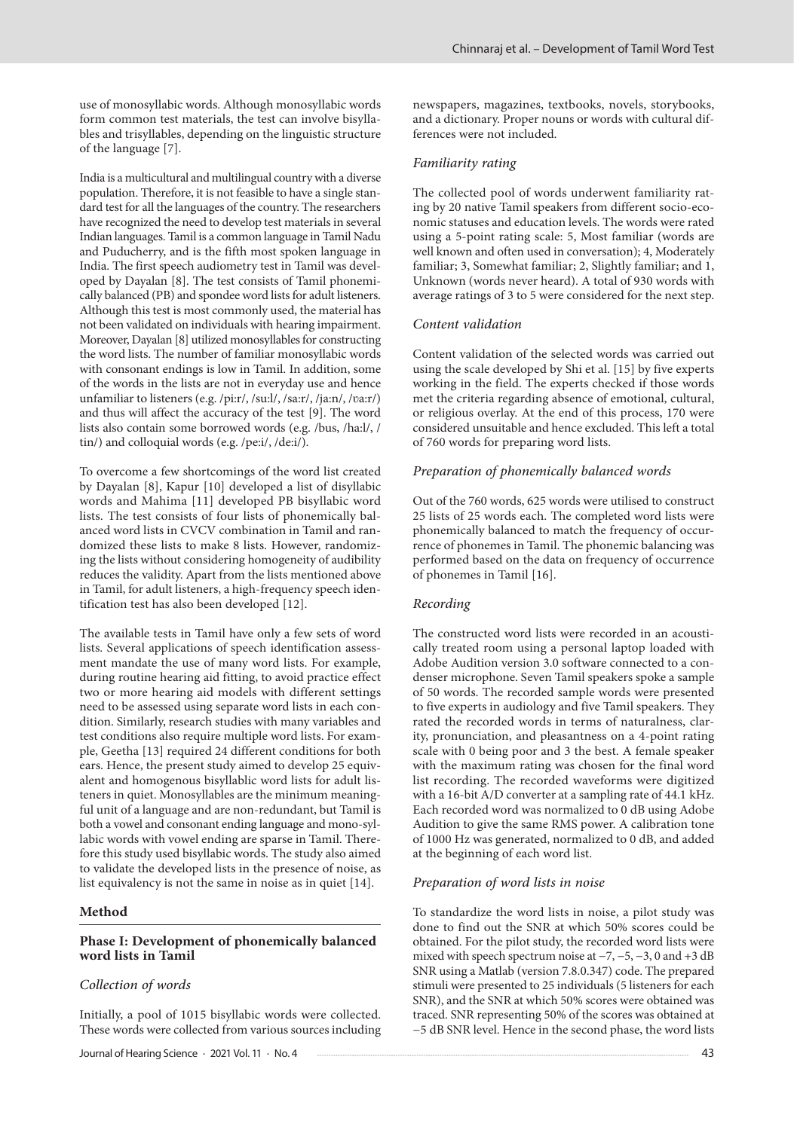use of monosyllabic words. Although monosyllabic words form common test materials, the test can involve bisyllables and trisyllables, depending on the linguistic structure of the language [7].

India is a multicultural and multilingual country with a diverse population. Therefore, it is not feasible to have a single standard test for all the languages of the country. The researchers have recognized the need to develop test materials in several Indian languages. Tamil is a common language in Tamil Nadu and Puducherry, and is the fifth most spoken language in India. The first speech audiometry test in Tamil was developed by Dayalan [8]. The test consists of Tamil phonemically balanced (PB) and spondee word lists for adult listeners. Although this test is most commonly used, the material has not been validated on individuals with hearing impairment. Moreover, Dayalan [8] utilized monosyllables for constructing the word lists. The number of familiar monosyllabic words with consonant endings is low in Tamil. In addition, some of the words in the lists are not in everyday use and hence unfamiliar to listeners (e.g. /pi:r/, /su:l/, /sa:r/, /ja:n/, /ʋa:r/) and thus will affect the accuracy of the test [9]. The word lists also contain some borrowed words (e.g. /bus, /ha:l/, / tin/) and colloquial words (e.g. /pe:i/, /de:i/).

To overcome a few shortcomings of the word list created by Dayalan [8], Kapur [10] developed a list of disyllabic words and Mahima [11] developed PB bisyllabic word lists. The test consists of four lists of phonemically balanced word lists in CVCV combination in Tamil and randomized these lists to make 8 lists. However, randomizing the lists without considering homogeneity of audibility reduces the validity. Apart from the lists mentioned above in Tamil, for adult listeners, a high-frequency speech identification test has also been developed [12].

The available tests in Tamil have only a few sets of word lists. Several applications of speech identification assessment mandate the use of many word lists. For example, during routine hearing aid fitting, to avoid practice effect two or more hearing aid models with different settings need to be assessed using separate word lists in each condition. Similarly, research studies with many variables and test conditions also require multiple word lists. For example, Geetha [13] required 24 different conditions for both ears. Hence, the present study aimed to develop 25 equivalent and homogenous bisyllablic word lists for adult listeners in quiet. Monosyllables are the minimum meaningful unit of a language and are non-redundant, but Tamil is both a vowel and consonant ending language and mono-syllabic words with vowel ending are sparse in Tamil. Therefore this study used bisyllabic words. The study also aimed to validate the developed lists in the presence of noise, as list equivalency is not the same in noise as in quiet [14].

## **Method**

## **Phase I: Development of phonemically balanced word lists in Tamil**

# *Collection of words*

Initially, a pool of 1015 bisyllabic words were collected. These words were collected from various sources including newspapers, magazines, textbooks, novels, storybooks, and a dictionary. Proper nouns or words with cultural differences were not included.

## *Familiarity rating*

The collected pool of words underwent familiarity rating by 20 native Tamil speakers from different socio-economic statuses and education levels. The words were rated using a 5-point rating scale: 5, Most familiar (words are well known and often used in conversation); 4, Moderately familiar; 3, Somewhat familiar; 2, Slightly familiar; and 1, Unknown (words never heard). A total of 930 words with average ratings of 3 to 5 were considered for the next step.

#### *Content validation*

Content validation of the selected words was carried out using the scale developed by Shi et al. [15] by five experts working in the field. The experts checked if those words met the criteria regarding absence of emotional, cultural, or religious overlay. At the end of this process, 170 were considered unsuitable and hence excluded. This left a total of 760 words for preparing word lists.

## *Preparation of phonemically balanced words*

Out of the 760 words, 625 words were utilised to construct 25 lists of 25 words each. The completed word lists were phonemically balanced to match the frequency of occurrence of phonemes in Tamil. The phonemic balancing was performed based on the data on frequency of occurrence of phonemes in Tamil [16].

#### *Recording*

The constructed word lists were recorded in an acoustically treated room using a personal laptop loaded with Adobe Audition version 3.0 software connected to a condenser microphone. Seven Tamil speakers spoke a sample of 50 words. The recorded sample words were presented to five experts in audiology and five Tamil speakers. They rated the recorded words in terms of naturalness, clarity, pronunciation, and pleasantness on a 4-point rating scale with 0 being poor and 3 the best. A female speaker with the maximum rating was chosen for the final word list recording. The recorded waveforms were digitized with a 16-bit A/D converter at a sampling rate of 44.1 kHz. Each recorded word was normalized to 0 dB using Adobe Audition to give the same RMS power. A calibration tone of 1000 Hz was generated, normalized to 0 dB, and added at the beginning of each word list.

#### *Preparation of word lists in noise*

To standardize the word lists in noise, a pilot study was done to find out the SNR at which 50% scores could be obtained. For the pilot study, the recorded word lists were mixed with speech spectrum noise at  $-7, -5, -3, 0$  and  $+3$  dB SNR using a Matlab (version 7.8.0.347) code. The prepared stimuli were presented to 25 individuals (5 listeners for each SNR), and the SNR at which 50% scores were obtained was traced. SNR representing 50% of the scores was obtained at −5 dB SNR level. Hence in the second phase, the word lists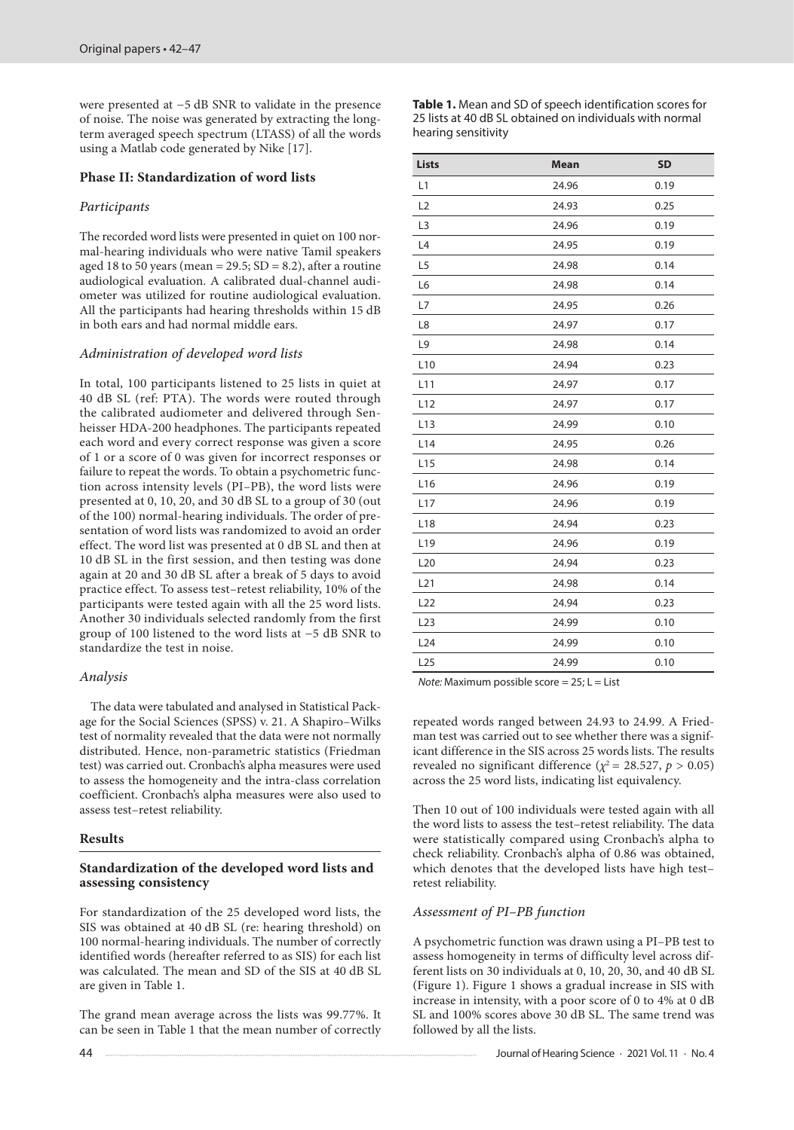were presented at −5 dB SNR to validate in the presence of noise. The noise was generated by extracting the longterm averaged speech spectrum (LTASS) of all the words using a Matlab code generated by Nike [17].

# **Phase II: Standardization of word lists**

# *Participants*

The recorded word lists were presented in quiet on 100 normal-hearing individuals who were native Tamil speakers aged 18 to 50 years (mean =  $29.5$ ; SD =  $8.2$ ), after a routine audiological evaluation. A calibrated dual-channel audiometer was utilized for routine audiological evaluation. All the participants had hearing thresholds within 15 dB in both ears and had normal middle ears.

# *Administration of developed word lists*

In total, 100 participants listened to 25 lists in quiet at 40 dB SL (ref: PTA). The words were routed through the calibrated audiometer and delivered through Senheisser HDA-200 headphones. The participants repeated each word and every correct response was given a score of 1 or a score of 0 was given for incorrect responses or failure to repeat the words. To obtain a psychometric function across intensity levels (PI–PB), the word lists were presented at 0, 10, 20, and 30 dB SL to a group of 30 (out of the 100) normal-hearing individuals. The order of presentation of word lists was randomized to avoid an order effect. The word list was presented at 0 dB SL and then at 10 dB SL in the first session, and then testing was done again at 20 and 30 dB SL after a break of 5 days to avoid practice effect. To assess test–retest reliability, 10% of the participants were tested again with all the 25 word lists. Another 30 individuals selected randomly from the first group of 100 listened to the word lists at −5 dB SNR to standardize the test in noise.

#### *Analysis*

The data were tabulated and analysed in Statistical Package for the Social Sciences (SPSS) v. 21. A Shapiro–Wilks test of normality revealed that the data were not normally distributed. Hence, non-parametric statistics (Friedman test) was carried out. Cronbach's alpha measures were used to assess the homogeneity and the intra-class correlation coefficient. Cronbach's alpha measures were also used to assess test–retest reliability.

#### **Results**

# **Standardization of the developed word lists and assessing consistency**

For standardization of the 25 developed word lists, the SIS was obtained at 40 dB SL (re: hearing threshold) on 100 normal-hearing individuals. The number of correctly identified words (hereafter referred to as SIS) for each list was calculated. The mean and SD of the SIS at 40 dB SL are given in Table 1.

The grand mean average across the lists was 99.77%. It can be seen in Table 1 that the mean number of correctly **Table 1.** Mean and SD of speech identification scores for 25 lists at 40 dB SL obtained on individuals with normal hearing sensitivity

| Lists           | <b>Mean</b> | <b>SD</b> |
|-----------------|-------------|-----------|
| L1              | 24.96       | 0.19      |
| L2              | 24.93       | 0.25      |
| L <sub>3</sub>  | 24.96       | 0.19      |
| L4              | 24.95       | 0.19      |
| L <sub>5</sub>  | 24.98       | 0.14      |
| L6              | 24.98       | 0.14      |
| L7              | 24.95       | 0.26      |
| L8              | 24.97       | 0.17      |
| L9              | 24.98       | 0.14      |
| L <sub>10</sub> | 24.94       | 0.23      |
| L11             | 24.97       | 0.17      |
| L12             | 24.97       | 0.17      |
| L <sub>13</sub> | 24.99       | 0.10      |
| L <sub>14</sub> | 24.95       | 0.26      |
| L <sub>15</sub> | 24.98       | 0.14      |
| L <sub>16</sub> | 24.96       | 0.19      |
| L17             | 24.96       | 0.19      |
| L <sub>18</sub> | 24.94       | 0.23      |
| L <sub>19</sub> | 24.96       | 0.19      |
| L <sub>20</sub> | 24.94       | 0.23      |
| L21             | 24.98       | 0.14      |
| L22             | 24.94       | 0.23      |
| L23             | 24.99       | 0.10      |
| L24             | 24.99       | 0.10      |
| L25             | 24.99       | 0.10      |

*Note:* Maximum possible score = 25; L = List

repeated words ranged between 24.93 to 24.99. A Friedman test was carried out to see whether there was a significant difference in the SIS across 25 words lists. The results revealed no significant difference ( $\chi^2$  = 28.527, *p* > 0.05) across the 25 word lists, indicating list equivalency.

Then 10 out of 100 individuals were tested again with all the word lists to assess the test–retest reliability. The data were statistically compared using Cronbach's alpha to check reliability. Cronbach's alpha of 0.86 was obtained, which denotes that the developed lists have high testretest reliability.

## *Assessment of PI–PB function*

A psychometric function was drawn using a PI–PB test to assess homogeneity in terms of difficulty level across different lists on 30 individuals at 0, 10, 20, 30, and 40 dB SL (Figure 1). Figure 1 shows a gradual increase in SIS with increase in intensity, with a poor score of 0 to 4% at 0 dB SL and 100% scores above 30 dB SL. The same trend was followed by all the lists.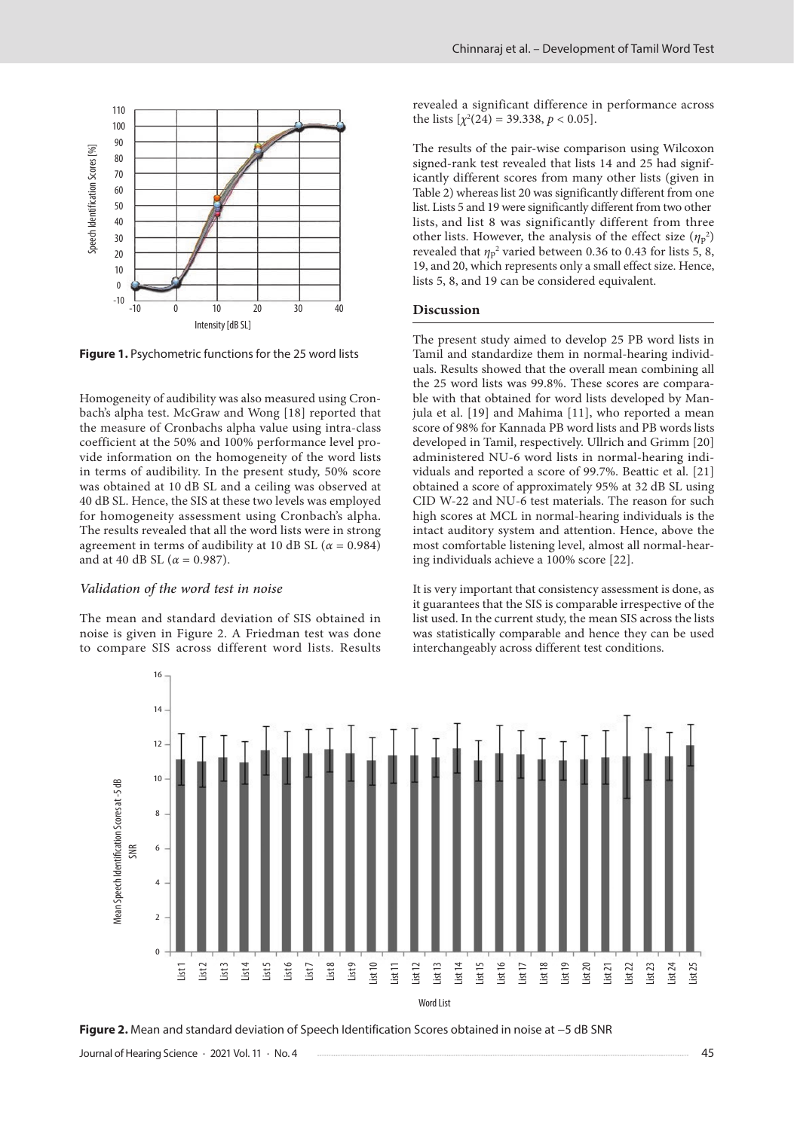

**Figure 1.** Psychometric functions for the 25 word lists

Homogeneity of audibility was also measured using Cronbach's alpha test. McGraw and Wong [18] reported that the measure of Cronbachs alpha value using intra-class coefficient at the 50% and 100% performance level provide information on the homogeneity of the word lists in terms of audibility. In the present study, 50% score was obtained at 10 dB SL and a ceiling was observed at 40 dB SL. Hence, the SIS at these two levels was employed for homogeneity assessment using Cronbach's alpha. The results revealed that all the word lists were in strong agreement in terms of audibility at 10 dB SL ( $\alpha$  = 0.984) and at 40 dB SL ( $\alpha$  = 0.987).

#### *Validation of the word test in noise*

The mean and standard deviation of SIS obtained in noise is given in Figure 2. A Friedman test was done to compare SIS across different word lists. Results revealed a significant difference in performance across the lists  $[\chi^2(24) = 39.338, p < 0.05]$ .

The results of the pair-wise comparison using Wilcoxon signed-rank test revealed that lists 14 and 25 had significantly different scores from many other lists (given in Table 2) whereas list 20 was significantly different from one list. Lists 5 and 19 were significantly different from two other lists, and list 8 was significantly different from three other lists. However, the analysis of the effect size  $(\eta_p^2)$ revealed that  $\eta_p^2$  varied between 0.36 to 0.43 for lists 5, 8, 19, and 20, which represents only a small effect size. Hence, lists 5, 8, and 19 can be considered equivalent.

# **Discussion**

The present study aimed to develop 25 PB word lists in Tamil and standardize them in normal-hearing individuals. Results showed that the overall mean combining all the 25 word lists was 99.8%. These scores are comparable with that obtained for word lists developed by Manjula et al. [19] and Mahima [11], who reported a mean score of 98% for Kannada PB word lists and PB words lists developed in Tamil, respectively. Ullrich and Grimm [20] administered NU-6 word lists in normal-hearing individuals and reported a score of 99.7%. Beattic et al. [21] obtained a score of approximately 95% at 32 dB SL using CID W-22 and NU-6 test materials. The reason for such high scores at MCL in normal-hearing individuals is the intact auditory system and attention. Hence, above the most comfortable listening level, almost all normal-hearing individuals achieve a 100% score [22].

It is very important that consistency assessment is done, as it guarantees that the SIS is comparable irrespective of the list used. In the current study, the mean SIS across the lists was statistically comparable and hence they can be used interchangeably across different test conditions.



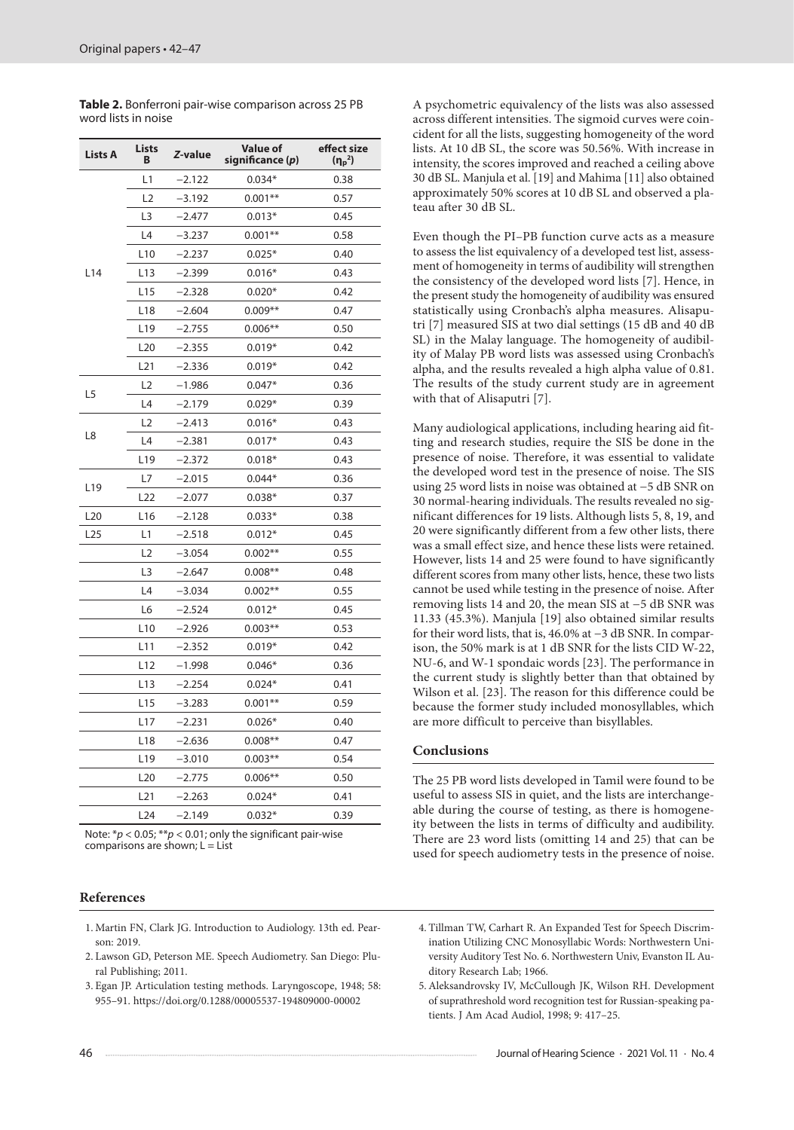| <b>Lists A</b>  | Lists<br>В      | Z-value  | <b>Value of</b><br>significance (p) | effect size<br>$(\eta_p^2)$ |
|-----------------|-----------------|----------|-------------------------------------|-----------------------------|
| L <sub>14</sub> | L1              | $-2.122$ | $0.034*$                            | 0.38                        |
|                 | L2              | $-3.192$ | $0.001**$                           | 0.57                        |
|                 | L3              | $-2.477$ | $0.013*$                            | 0.45                        |
|                 | L4              | $-3.237$ | $0.001**$                           | 0.58                        |
|                 | L10             | $-2.237$ | $0.025*$                            | 0.40                        |
|                 | L13             | -2.399   | $0.016*$                            | 0.43                        |
|                 | L15             | $-2.328$ | $0.020*$                            | 0.42                        |
|                 | L18             | $-2.604$ | $0.009**$                           | 0.47                        |
|                 | L19             | $-2.755$ | $0.006**$                           | 0.50                        |
|                 | L <sub>20</sub> | $-2.355$ | $0.019*$                            | 0.42                        |
|                 | L21             | -2.336   | $0.019*$                            | 0.42                        |
| L5              | L <sub>2</sub>  | –1.986   | $0.047*$                            | 0.36                        |
|                 | L4              | $-2.179$ | $0.029*$                            | 0.39                        |
| L8              | L <sub>2</sub>  | $-2.413$ | $0.016*$                            | 0.43                        |
|                 | L4              | $-2.381$ | $0.017*$                            | 0.43                        |
|                 | L19             | $-2.372$ | $0.018*$                            | 0.43                        |
| L <sub>19</sub> | L7              | $-2.015$ | $0.044*$                            | 0.36                        |
|                 | L22             | $-2.077$ | $0.038*$                            | 0.37                        |
| L <sub>20</sub> | L <sub>16</sub> | $-2.128$ | $0.033*$                            | 0.38                        |
| L25             | L1              | $-2.518$ | $0.012*$                            | 0.45                        |
|                 | L <sub>2</sub>  | $-3.054$ | $0.002**$                           | 0.55                        |
|                 | L3              | $-2.647$ | $0.008**$                           | 0.48                        |
|                 | L4              | $-3.034$ | $0.002**$                           | 0.55                        |
|                 | L6              | $-2.524$ | $0.012*$                            | 0.45                        |
|                 | L10             | -2.926   | $0.003**$                           | 0.53                        |
|                 | L11             | $-2.352$ | $0.019*$                            | 0.42                        |
|                 | L12             | $-1.998$ | $0.046*$                            | 0.36                        |
|                 | L13             | $-2.254$ | $0.024*$                            | 0.41                        |
|                 | L15             | –3.283   | $0.001**$                           | 0.59                        |
|                 | L17             | $-2.231$ | $0.026*$                            | 0.40                        |
|                 | L18             | -2.636   | $0.008**$                           | 0.47                        |
|                 | L19             | $-3.010$ | $0.003**$                           | 0.54                        |
|                 | L <sub>20</sub> | $-2.775$ | $0.006**$                           | 0.50                        |
|                 | L21             | $-2.263$ | $0.024*$                            | 0.41                        |
|                 | L <sub>24</sub> | $-2.149$ | $0.032*$                            | 0.39                        |

**Table 2.** Bonferroni pair-wise comparison across 25 PB word lists in noise

Note: \**p* < 0.05; \*\**p* < 0.01; only the significant pair-wise comparisons are shown;  $L = List$ 

# **References**

- 1. Martin FN, Clark JG. Introduction to Audiology. 13th ed. Pearson: 2019.
- 2. Lawson GD, Peterson ME. Speech Audiometry. San Diego: Plural Publishing; 2011.
- 3. Egan JP. Articulation testing methods. Laryngoscope, 1948; 58: 955–91. https://doi.org/0.1288/00005537-194809000-00002

A psychometric equivalency of the lists was also assessed across different intensities. The sigmoid curves were coincident for all the lists, suggesting homogeneity of the word lists. At 10 dB SL, the score was 50.56%. With increase in intensity, the scores improved and reached a ceiling above 30 dB SL. Manjula et al. [19] and Mahima [11] also obtained approximately 50% scores at 10 dB SL and observed a plateau after 30 dB SL.

Even though the PI–PB function curve acts as a measure to assess the list equivalency of a developed test list, assessment of homogeneity in terms of audibility will strengthen the consistency of the developed word lists [7]. Hence, in the present study the homogeneity of audibility was ensured statistically using Cronbach's alpha measures. Alisaputri [7] measured SIS at two dial settings (15 dB and 40 dB SL) in the Malay language. The homogeneity of audibility of Malay PB word lists was assessed using Cronbach's alpha, and the results revealed a high alpha value of 0.81. The results of the study current study are in agreement with that of Alisaputri [7].

Many audiological applications, including hearing aid fitting and research studies, require the SIS be done in the presence of noise. Therefore, it was essential to validate the developed word test in the presence of noise. The SIS using 25 word lists in noise was obtained at −5 dB SNR on 30 normal-hearing individuals. The results revealed no significant differences for 19 lists. Although lists 5, 8, 19, and 20 were significantly different from a few other lists, there was a small effect size, and hence these lists were retained. However, lists 14 and 25 were found to have significantly different scores from many other lists, hence, these two lists cannot be used while testing in the presence of noise. After removing lists 14 and 20, the mean SIS at −5 dB SNR was 11.33 (45.3%). Manjula [19] also obtained similar results for their word lists, that is, 46.0% at −3 dB SNR. In comparison, the 50% mark is at 1 dB SNR for the lists CID W-22, NU-6, and W-1 spondaic words [23]. The performance in the current study is slightly better than that obtained by Wilson et al. [23]. The reason for this difference could be because the former study included monosyllables, which are more difficult to perceive than bisyllables.

# **Conclusions**

The 25 PB word lists developed in Tamil were found to be useful to assess SIS in quiet, and the lists are interchangeable during the course of testing, as there is homogeneity between the lists in terms of difficulty and audibility. There are 23 word lists (omitting 14 and 25) that can be used for speech audiometry tests in the presence of noise.

- 4. Tillman TW, Carhart R. An Expanded Test for Speech Discrimination Utilizing CNC Monosyllabic Words: Northwestern University Auditory Test No. 6. Northwestern Univ, Evanston IL Auditory Research Lab; 1966.
- 5. Aleksandrovsky IV, McCullough JK, Wilson RH. Development of suprathreshold word recognition test for Russian-speaking patients. J Am Acad Audiol, 1998; 9: 417–25.